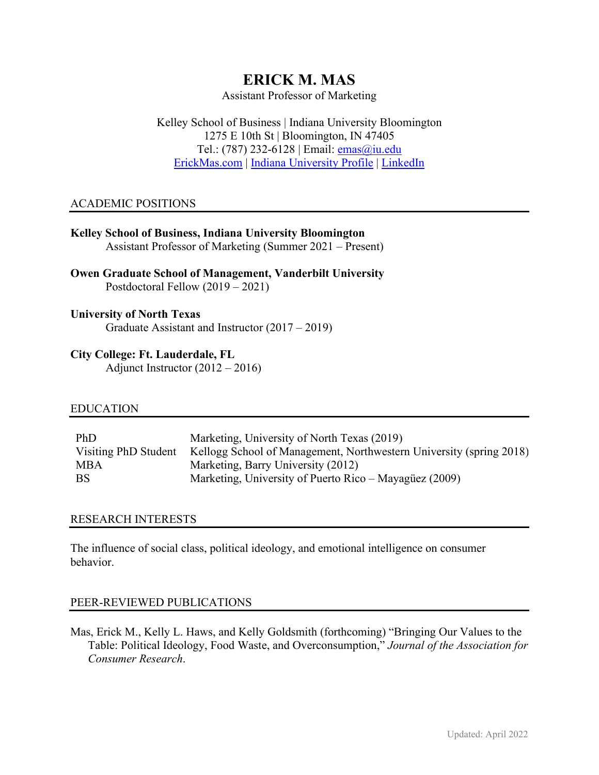# **ERICK M. MAS**

Assistant Professor of Marketing

Kelley School of Business | Indiana University Bloomington 1275 E 10th St | Bloomington, IN 47405 Tel.: (787) 232-6128 | Email: [emas@iu.edu](mailto:emas@iu.edu) [ErickMas.com](https://www.erickmas.com/) | [Indiana University Profile](https://kelley.iu.edu/faculty-research/faculty-directory/profile.html?id=EMAS) | [LinkedIn](https://www.linkedin.com/in/erick-m-mas-roman-4a1a5419/)

# ACADEMIC POSITIONS

| <b>Kelley School of Business, Indiana University Bloomington</b><br>Assistant Professor of Marketing (Summer 2021 – Present) |
|------------------------------------------------------------------------------------------------------------------------------|
| <b>Owen Graduate School of Management, Vanderbilt University</b><br>Postdoctoral Fellow $(2019 - 2021)$                      |
| <b>University of North Texas</b>                                                                                             |

Graduate Assistant and Instructor (2017 – 2019)

# **City College: Ft. Lauderdale, FL**

Adjunct Instructor (2012 – 2016)

## EDUCATION

| <b>PhD</b>           | Marketing, University of North Texas (2019)                         |
|----------------------|---------------------------------------------------------------------|
| Visiting PhD Student | Kellogg School of Management, Northwestern University (spring 2018) |
| MBA                  | Marketing, Barry University (2012)                                  |
| BS                   | Marketing, University of Puerto Rico – Mayagüez (2009)              |

# RESEARCH INTERESTS

The influence of social class, political ideology, and emotional intelligence on consumer behavior.

## PEER-REVIEWED PUBLICATIONS

Mas, Erick M., Kelly L. Haws, and Kelly Goldsmith (forthcoming) "Bringing Our Values to the Table: Political Ideology, Food Waste, and Overconsumption," *Journal of the Association for Consumer Research*.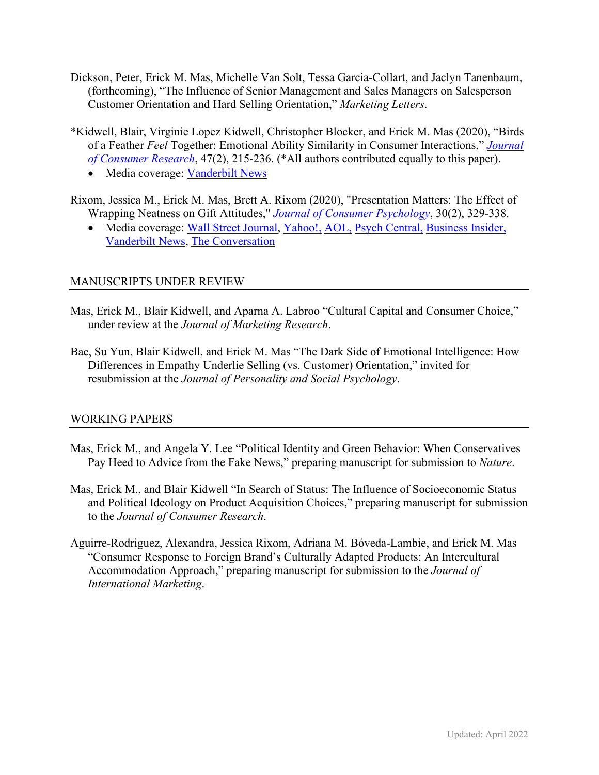- Dickson, Peter, Erick M. Mas, Michelle Van Solt, Tessa Garcia-Collart, and Jaclyn Tanenbaum, (forthcoming), "The Influence of Senior Management and Sales Managers on Salesperson Customer Orientation and Hard Selling Orientation," *Marketing Letters*.
- \*Kidwell, Blair, Virginie Lopez Kidwell, Christopher Blocker, and Erick M. Mas (2020), "Birds of a Feather *Feel* Together: Emotional Ability Similarity in Consumer Interactions," *[Journal](https://academic.oup.com/jcr/article-abstract/47/2/215/5781957)  [of Consumer Research](https://academic.oup.com/jcr/article-abstract/47/2/215/5781957)*, 47(2), 215-236. (\*All authors contributed equally to this paper).
	- Media coverage: Vanderbilt News
- Rixom, Jessica M., Erick M. Mas, Brett A. Rixom (2020), "Presentation Matters: The Effect of Wrapping Neatness on Gift Attitudes," *[Journal of Consumer Psychology](https://onlinelibrary.wiley.com/doi/abs/10.1002/jcpy.1140)*, 30(2), 329-338.
	- Media coverage: [Wall Street Journal,](https://www.wsj.com/articles/dont-judge-a-holiday-gift-by-its-cover-perfect-packages-raise-hopes-11607682604?st=63aubvh4lesnzq3&reflink=article_email_share) [Yahoo!,](https://sports.yahoo.com/study-people-love-gift-more-185100588.html) [AOL,](https://www.aol.com/article/lifestyle/2019/11/01/study-people-will-love-a-gift-more-if-its-poorly-wrapped/23851721/) [Psych Central,](https://psychcentral.com/news/2019/11/07/for-successful-gift-giving-its-all-about-the-wrapping/151518.html) [Business Insider,](https://www.businessinsider.com/science-says-your-friends-like-your-badly-wrapped-presents-more-2019-12?r=UK&IR=T) [Vanderbilt News,](https://news.vanderbilt.edu/2019/12/05/no-it-doesnt-matter-how-nicely-you-wrap-that-gift-except-when-it-does/) [The Conversation](https://theconversation.com/the-science-of-gift-wrapping-explains-why-sloppy-is-better-128506)

# MANUSCRIPTS UNDER REVIEW

- Mas, Erick M., Blair Kidwell, and Aparna A. Labroo "Cultural Capital and Consumer Choice," under review at the *Journal of Marketing Research*.
- Bae, Su Yun, Blair Kidwell, and Erick M. Mas "The Dark Side of Emotional Intelligence: How Differences in Empathy Underlie Selling (vs. Customer) Orientation," invited for resubmission at the *Journal of Personality and Social Psychology*.

## WORKING PAPERS

- Mas, Erick M., and Angela Y. Lee "Political Identity and Green Behavior: When Conservatives Pay Heed to Advice from the Fake News," preparing manuscript for submission to *Nature*.
- Mas, Erick M., and Blair Kidwell "In Search of Status: The Influence of Socioeconomic Status and Political Ideology on Product Acquisition Choices," preparing manuscript for submission to the *Journal of Consumer Research*.
- Aguirre-Rodriguez, Alexandra, Jessica Rixom, Adriana M. Bóveda-Lambie, and Erick M. Mas "Consumer Response to Foreign Brand's Culturally Adapted Products: An Intercultural Accommodation Approach," preparing manuscript for submission to the *Journal of International Marketing*.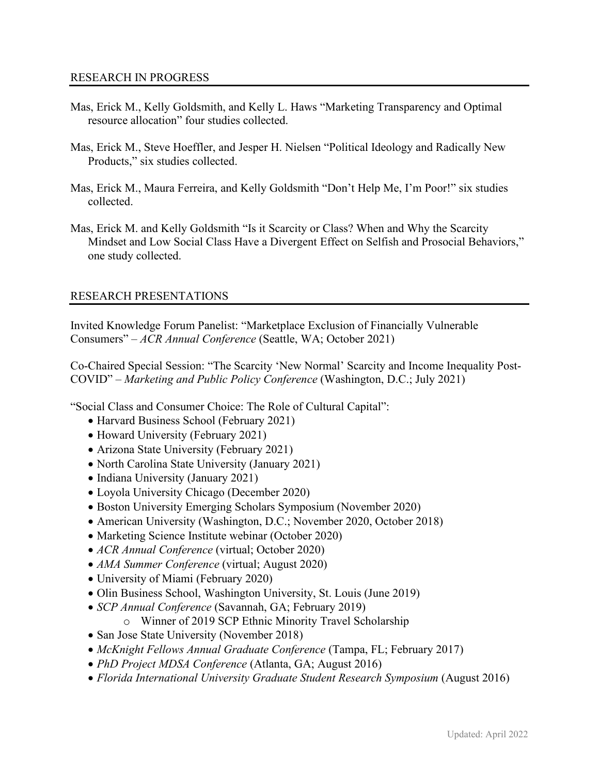- Mas, Erick M., Kelly Goldsmith, and Kelly L. Haws "Marketing Transparency and Optimal resource allocation" four studies collected.
- Mas, Erick M., Steve Hoeffler, and Jesper H. Nielsen "Political Ideology and Radically New Products," six studies collected.
- Mas, Erick M., Maura Ferreira, and Kelly Goldsmith "Don't Help Me, I'm Poor!" six studies collected.
- Mas, Erick M. and Kelly Goldsmith "Is it Scarcity or Class? When and Why the Scarcity Mindset and Low Social Class Have a Divergent Effect on Selfish and Prosocial Behaviors," one study collected.

## RESEARCH PRESENTATIONS

Invited Knowledge Forum Panelist: "Marketplace Exclusion of Financially Vulnerable Consumers" – *ACR Annual Conference* (Seattle, WA; October 2021)

Co-Chaired Special Session: "The Scarcity 'New Normal' Scarcity and Income Inequality Post-COVID" – *Marketing and Public Policy Conference* (Washington, D.C.; July 2021)

"Social Class and Consumer Choice: The Role of Cultural Capital":

- Harvard Business School (February 2021)
- Howard University (February 2021)
- Arizona State University (February 2021)
- North Carolina State University (January 2021)
- Indiana University (January 2021)
- Loyola University Chicago (December 2020)
- Boston University Emerging Scholars Symposium (November 2020)
- American University (Washington, D.C.; November 2020, October 2018)
- Marketing Science Institute webinar (October 2020)
- *ACR Annual Conference* (virtual; October 2020)
- *AMA Summer Conference* (virtual; August 2020)
- University of Miami (February 2020)
- Olin Business School, Washington University, St. Louis (June 2019)
- *SCP Annual Conference* (Savannah, GA; February 2019)
	- o Winner of 2019 SCP Ethnic Minority Travel Scholarship
- San Jose State University (November 2018)
- *McKnight Fellows Annual Graduate Conference* (Tampa, FL; February 2017)
- *PhD Project MDSA Conference* (Atlanta, GA; August 2016)
- *Florida International University Graduate Student Research Symposium* (August 2016)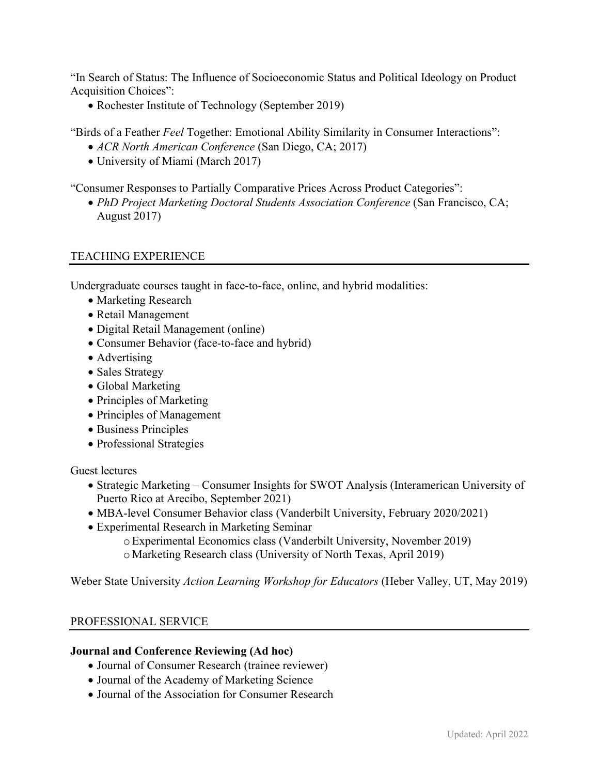"In Search of Status: The Influence of Socioeconomic Status and Political Ideology on Product Acquisition Choices":

• Rochester Institute of Technology (September 2019)

"Birds of a Feather *Feel* Together: Emotional Ability Similarity in Consumer Interactions":

- *ACR North American Conference* (San Diego, CA; 2017)
- University of Miami (March 2017)

"Consumer Responses to Partially Comparative Prices Across Product Categories":

• *PhD Project Marketing Doctoral Students Association Conference* (San Francisco, CA; August 2017)

## TEACHING EXPERIENCE

Undergraduate courses taught in face-to-face, online, and hybrid modalities:

- Marketing Research
- Retail Management
- Digital Retail Management (online)
- Consumer Behavior (face-to-face and hybrid)
- Advertising
- Sales Strategy
- Global Marketing
- Principles of Marketing
- Principles of Management
- Business Principles
- Professional Strategies

Guest lectures

- Strategic Marketing Consumer Insights for SWOT Analysis (Interamerican University of Puerto Rico at Arecibo, September 2021)
- MBA-level Consumer Behavior class (Vanderbilt University, February 2020/2021)
- Experimental Research in Marketing Seminar
	- oExperimental Economics class (Vanderbilt University, November 2019) o Marketing Research class (University of North Texas, April 2019)

Weber State University *Action Learning Workshop for Educators* (Heber Valley, UT, May 2019)

# PROFESSIONAL SERVICE

## **Journal and Conference Reviewing (Ad hoc)**

- Journal of Consumer Research (trainee reviewer)
- Journal of the Academy of Marketing Science
- Journal of the Association for Consumer Research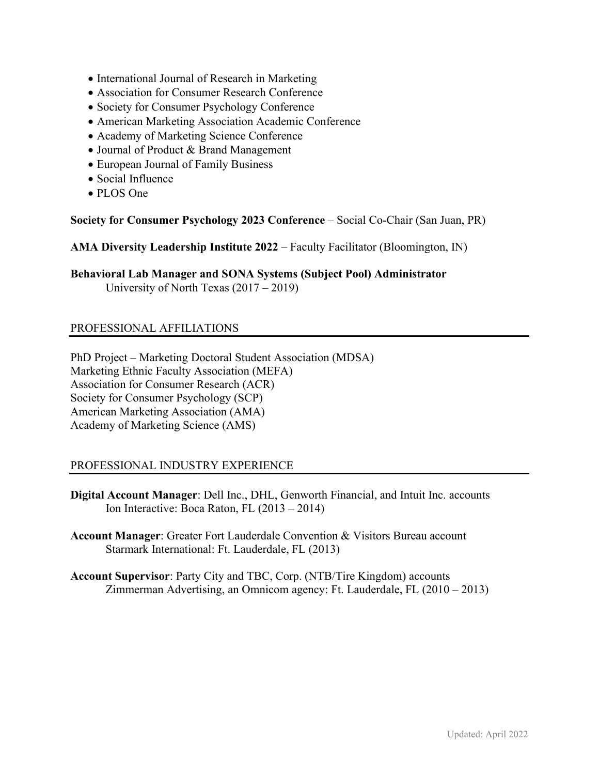- International Journal of Research in Marketing
- Association for Consumer Research Conference
- Society for Consumer Psychology Conference
- American Marketing Association Academic Conference
- Academy of Marketing Science Conference
- Journal of Product & Brand Management
- European Journal of Family Business
- Social Influence
- PLOS One

**Society for Consumer Psychology 2023 Conference** – Social Co-Chair (San Juan, PR)

**AMA Diversity Leadership Institute 2022** – Faculty Facilitator (Bloomington, IN)

**Behavioral Lab Manager and SONA Systems (Subject Pool) Administrator**  University of North Texas (2017 – 2019)

## PROFESSIONAL AFFILIATIONS

PhD Project – Marketing Doctoral Student Association (MDSA) Marketing Ethnic Faculty Association (MEFA) Association for Consumer Research (ACR) Society for Consumer Psychology (SCP) American Marketing Association (AMA) Academy of Marketing Science (AMS)

## PROFESSIONAL INDUSTRY EXPERIENCE

- **Digital Account Manager**: Dell Inc., DHL, Genworth Financial, and Intuit Inc. accounts Ion Interactive: Boca Raton, FL (2013 – 2014)
- **Account Manager**: Greater Fort Lauderdale Convention & Visitors Bureau account Starmark International: Ft. Lauderdale, FL (2013)
- **Account Supervisor**: Party City and TBC, Corp. (NTB/Tire Kingdom) accounts Zimmerman Advertising, an Omnicom agency: Ft. Lauderdale, FL (2010 – 2013)